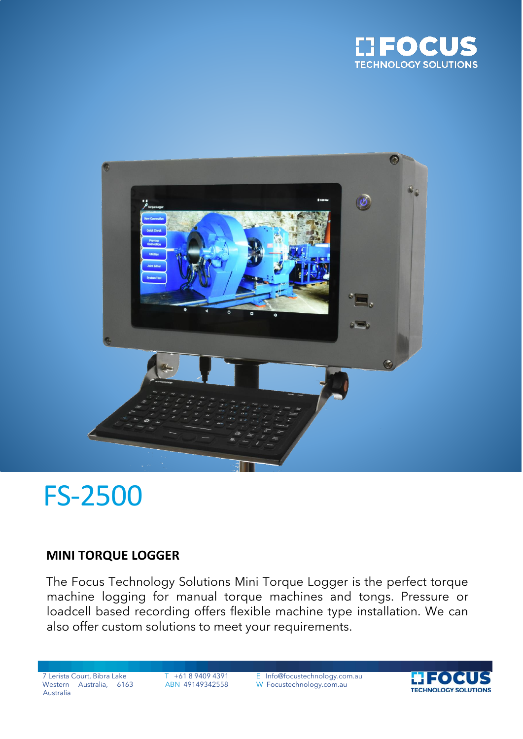



# FS-2500

### **MINI TORQUE LOGGER**

The Focus Technology Solutions Mini Torque Logger is the perfect torque machine logging for manual torque machines and tongs. Pressure or loadcell based recording offers flexible machine type installation. We can also offer custom solutions to meet your requirements.

Western Australia, 6163 Australia

7 Lerista Court, Bibra Lake T +61 8 9409 4391 E Info@focustechnology.com.au ABN 49149342558 W Focustechnology.com.au